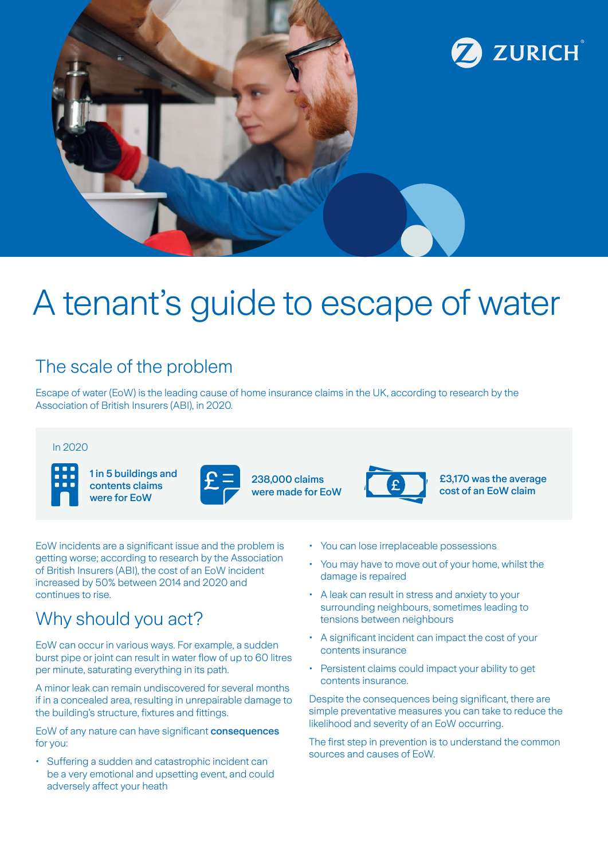

# A tenant's guide to escape of water

## The scale of the problem

Escape of water (EoW) is the leading cause of home insurance claims in the UK, according to research by the Association of British Insurers (ABI), in 2020.

### In 2020



1 in 5 buildings and contents claims were for EoW



238,000 claims were made for EoW



£3,170 was the average cost of an EoW claim

EoW incidents are a significant issue and the problem is getting worse; according to research by the Association of British Insurers (ABI), the cost of an EoW incident increased by 50% between 2014 and 2020 and continues to rise.

### Why should you act?

EoW can occur in various ways. For example, a sudden burst pipe or joint can result in water flow of up to 60 litres per minute, saturating everything in its path.

A minor leak can remain undiscovered for several months if in a concealed area, resulting in unrepairable damage to the building's structure, fixtures and fittings.

EoW of any nature can have significant consequences for you:

• Suffering a sudden and catastrophic incident can be a very emotional and upsetting event, and could adversely affect your heath

- You can lose irreplaceable possessions
- You may have to move out of your home, whilst the damage is repaired
- A leak can result in stress and anxiety to your surrounding neighbours, sometimes leading to tensions between neighbours
- A significant incident can impact the cost of your contents insurance
- Persistent claims could impact your ability to get contents insurance.

Despite the consequences being significant, there are simple preventative measures you can take to reduce the likelihood and severity of an EoW occurring.

The first step in prevention is to understand the common sources and causes of EoW.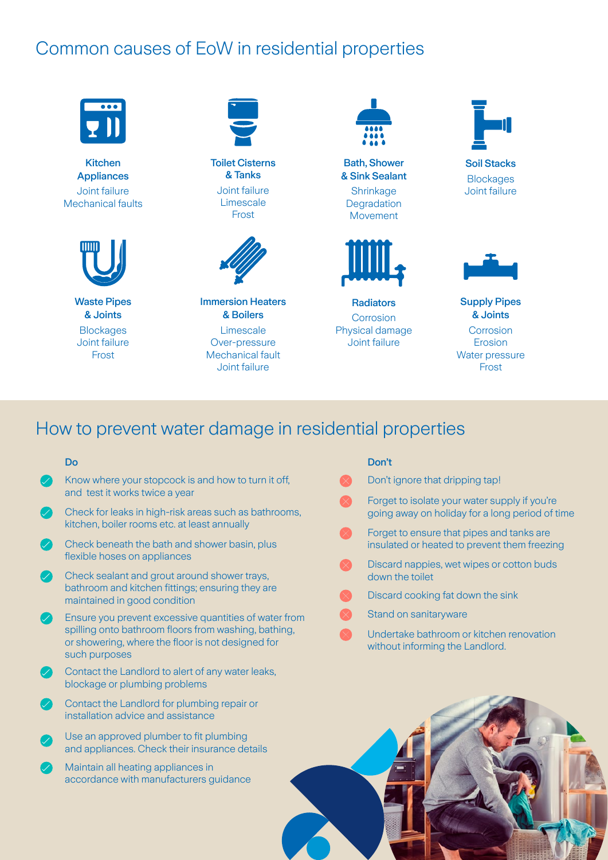### Common causes of EoW in residential properties



Kitchen Appliances Joint failure Mechanical faults



Waste Pipes & Joints **Blockages** Joint failure Frost



Toilet Cisterns & Tanks Joint failure Limescale Frost



Immersion Heaters & Boilers Limescale Over-pressure Mechanical fault Joint failure



Bath, Shower & Sink Sealant **Shrinkage Degradation** Movement



**Radiators Corrosion** Physical damage Joint failure



Soil Stacks **Blockages** Joint failure

Supply Pipes & Joints **Corrosion** Erosion Water pressure Frost

### How to prevent water damage in residential properties

#### Do

- $\boldsymbol{\mathcal{P}}$ Know where your stopcock is and how to turn it off, and test it works twice a year
- Check for leaks in high-risk areas such as bathrooms,  $\bullet$ kitchen, boiler rooms etc. at least annually
- $\bullet$ Check beneath the bath and shower basin, plus flexible hoses on appliances
- Check sealant and grout around shower trays, bathroom and kitchen fittings; ensuring they are maintained in good condition
- Ensure you prevent excessive quantities of water from spilling onto bathroom floors from washing, bathing, or showering, where the floor is not designed for such purposes
- Contact the Landlord to alert of any water leaks, blockage or plumbing problems
- Contact the Landlord for plumbing repair or installation advice and assistance
- Use an approved plumber to fit plumbing and appliances. Check their insurance details
- Maintain all heating appliances in accordance with manufacturers guidance

#### Don't

- Don't ignore that dripping tap! Forget to isolate your water supply if you're going away on holiday for a long period of time Forget to ensure that pipes and tanks are insulated or heated to prevent them freezing
	- Discard nappies, wet wipes or cotton buds down the toilet
	- Discard cooking fat down the sink
	- Stand on sanitaryware
	- Undertake bathroom or kitchen renovation without informing the Landlord.

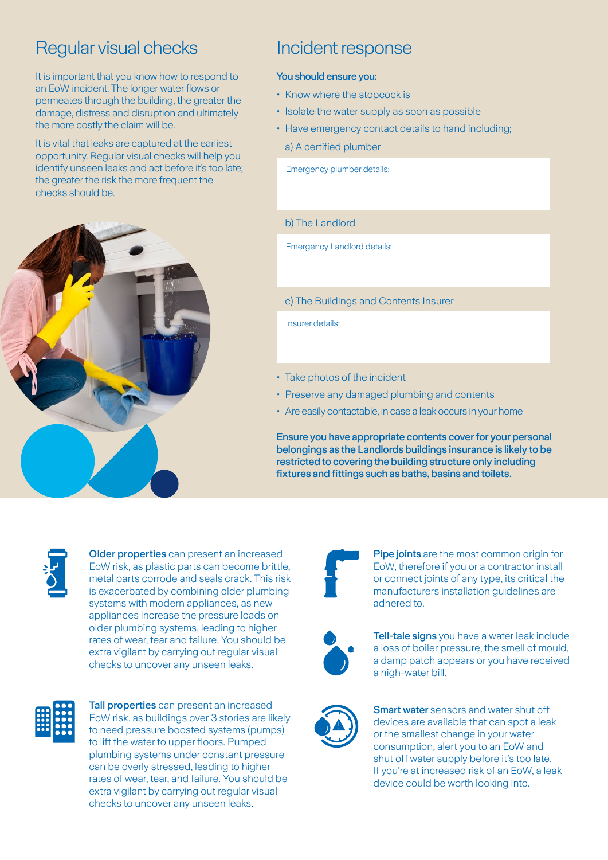### Regular visual checks Incident response

It is important that you know how to respond to an EoW incident. The longer water flows or permeates through the building, the greater the damage, distress and disruption and ultimately the more costly the claim will be.

It is vital that leaks are captured at the earliest opportunity. Regular visual checks will help you identify unseen leaks and act before it's too late; the greater the risk the more frequent the checks should be.



#### You should ensure you:

- Know where the stopcock is
- Isolate the water supply as soon as possible
- Have emergency contact details to hand including;
	- a) A certified plumber

Emergency plumber details:

#### b) The Landlord

Emergency Landlord details:

#### c) The Buildings and Contents Insurer

Insurer details:

- Take photos of the incident
- Preserve any damaged plumbing and contents
- Are easily contactable, in case a leak occurs in your home

Ensure you have appropriate contents cover for your personal belongings as the Landlords buildings insurance is likely to be restricted to covering the building structure only including fixtures and fittings such as baths, basins and toilets.



Older properties can present an increased EoW risk, as plastic parts can become brittle, metal parts corrode and seals crack. This risk is exacerbated by combining older plumbing systems with modern appliances, as new appliances increase the pressure loads on older plumbing systems, leading to higher rates of wear, tear and failure. You should be extra vigilant by carrying out regular visual checks to uncover any unseen leaks.



Tall properties can present an increased EoW risk, as buildings over 3 stories are likely to need pressure boosted systems (pumps) to lift the water to upper floors. Pumped plumbing systems under constant pressure can be overly stressed, leading to higher rates of wear, tear, and failure. You should be extra vigilant by carrying out regular visual checks to uncover any unseen leaks.



Pipe joints are the most common origin for EoW, therefore if you or a contractor install or connect joints of any type, its critical the manufacturers installation guidelines are adhered to.



Tell-tale signs you have a water leak include a loss of boiler pressure, the smell of mould, a damp patch appears or you have received a high-water bill.



**Smart water** sensors and water shut off devices are available that can spot a leak or the smallest change in your water consumption, alert you to an EoW and shut off water supply before it's too late. If you're at increased risk of an EoW, a leak device could be worth looking into.